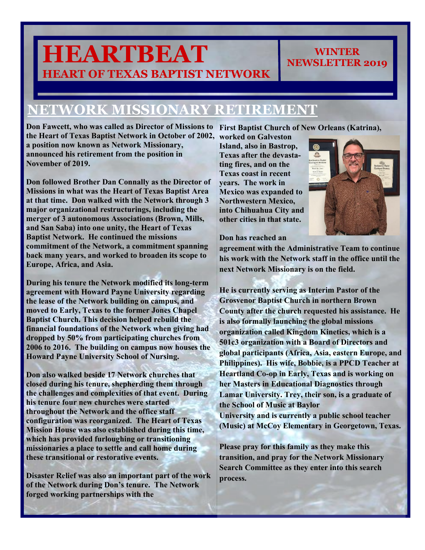# **HEARTBEAT HEART OF TEXAS BAPTIST NETWORK**

#### **NETWORK MISSIONARY RETIREMENT**

Don Fawcett, who was called as Director of Missions to First Baptist Church of New Orleans (Katrina), the Heart of Texas Baptist Network in October of 2002, worked on Galveston **a position now known as Network Missionary, announced his retirement from the position in November of 2019.** 

**Don followed Brother Dan Connally as the Director of Missions in what was the Heart of Texas Baptist Area at that time. Don walked with the Network through 3 major organizational restructurings, including the merger of 3 autonomous Associations (Brown, Mills, and San Saba) into one unity, the Heart of Texas Baptist Network. He continued the missions commitment of the Network, a commitment spanning back many years, and worked to broaden its scope to Europe, Africa, and Asia.** 

**During his tenure the Network modified its long-term agreement with Howard Payne University regarding the lease of the Network building on campus, and moved to Early, Texas to the former Jones Chapel Baptist Church. This decision helped rebuild the financial foundations of the Network when giving had dropped by 50% from participating churches from 2006 to 2016. The building on campus now houses the Howard Payne University School of Nursing.** 

**Don also walked beside 17 Network churches that closed during his tenure, shepherding them through the challenges and complexities of that event. During his tenure four new churches were started throughout the Network and the office staff configuration was reorganized. The Heart of Texas Mission House was also established during this time, which has provided furloughing or transitioning missionaries a place to settle and call home during these transitional or restorative events.** 

**Disaster Relief was also an important part of the work of the Network during Don's tenure. The Network forged working partnerships with the** 

**Island, also in Bastrop, Texas after the devastating fires, and on the Texas coast in recent years. The work in Mexico was expanded to Northwestern Mexico, into Chihuahua City and other cities in that state.** 



**WINTER NEWSLETTER 2019**

**Don has reached an** 

**agreement with the Administrative Team to continue his work with the Network staff in the office until the next Network Missionary is on the field.** 

**He is currently serving as Interim Pastor of the Grosvenor Baptist Church in northern Brown County after the church requested his assistance. He is also formally launching the global missions organization called Kingdom Kinetics, which is a 501c3 organization with a Board of Directors and global participants (Africa, Asia, eastern Europe, and Philippines). His wife, Bobbie, is a PPCD Teacher at Heartland Co-op in Early, Texas and is working on her Masters in Educational Diagnostics through Lamar University. Trey, their son, is a graduate of the School of Music at Baylor** 

**University and is currently a public school teacher (Music) at McCoy Elementary in Georgetown, Texas.** 

**Please pray for this family as they make this transition, and pray for the Network Missionary Search Committee as they enter into this search process.**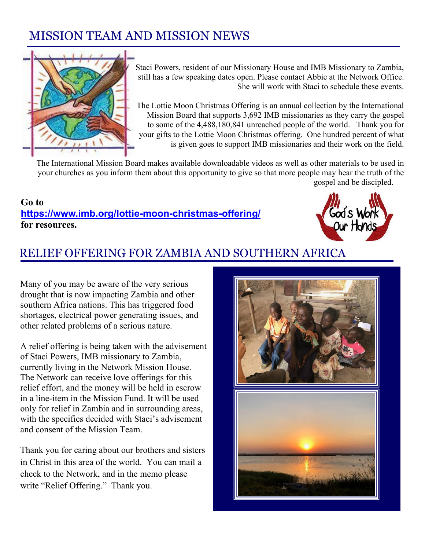#### MISSION TEAM AND MISSION NEWS



Staci Powers, resident of our Missionary House and IMB Missionary to Zambia, still has a few speaking dates open. Please contact Abbie at the Network Office. She will work with Staci to schedule these events.

The Lottie Moon Christmas Offering is an annual collection by the International Mission Board that supports 3,692 IMB missionaries as they carry the gospel to some of the 4,488,180,841 unreached people of the world. Thank you for your gifts to the Lottie Moon Christmas offering. One hundred percent of what is given goes to support IMB missionaries and their work on the field.

The International Mission Board makes available downloadable videos as well as other materials to be used in your churches as you inform them about this opportunity to give so that more people may hear the truth of the gospel and be discipled.

**Go to <https://www.imb.org/lottie-moon-christmas-offering/> for resources.**



#### RELIEF OFFERING FOR ZAMBIA AND SOUTHERN AFRICA

Many of you may be aware of the very serious drought that is now impacting Zambia and other southern Africa nations. This has triggered food shortages, electrical power generating issues, and other related problems of a serious nature.

A relief offering is being taken with the advisement of Staci Powers, IMB missionary to Zambia, currently living in the Network Mission House. The Network can receive love offerings for this relief effort, and the money will be held in escrow in a line-item in the Mission Fund. It will be used only for relief in Zambia and in surrounding areas, with the specifics decided with Staci's advisement and consent of the Mission Team.

Thank you for caring about our brothers and sisters in Christ in this area of the world. You can mail a check to the Network, and in the memo please write "Relief Offering." Thank you.

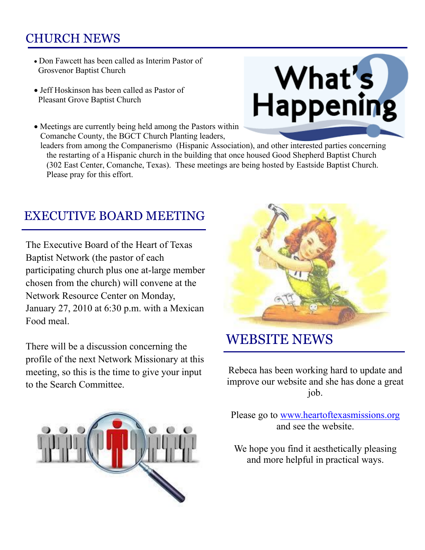#### CHURCH NEWS

- Don Fawcett has been called as Interim Pastor of Grosvenor Baptist Church
- Jeff Hoskinson has been called as Pastor of Pleasant Grove Baptist Church
- Meetings are currently being held among the Pastors within Comanche County, the BGCT Church Planting leaders,

 leaders from among the Companerismo (Hispanic Association), and other interested parties concerning the restarting of a Hispanic church in the building that once housed Good Shepherd Baptist Church (302 East Center, Comanche, Texas). These meetings are being hosted by Eastside Baptist Church. Please pray for this effort.

#### EXECUTIVE BOARD MEETING

The Executive Board of the Heart of Texas Baptist Network (the pastor of each participating church plus one at-large member chosen from the church) will convene at the Network Resource Center on Monday, January 27, 2010 at 6:30 p.m. with a Mexican Food meal.

There will be a discussion concerning the profile of the next Network Missionary at this meeting, so this is the time to give your input to the Search Committee.





### WEBSITE NEWS

Rebeca has been working hard to update and improve our website and she has done a great job.

Please go to [www.heartoftexasmissions.org](http://www.heartoftexasmissions.org/) and see the website.

We hope you find it aesthetically pleasing and more helpful in practical ways.